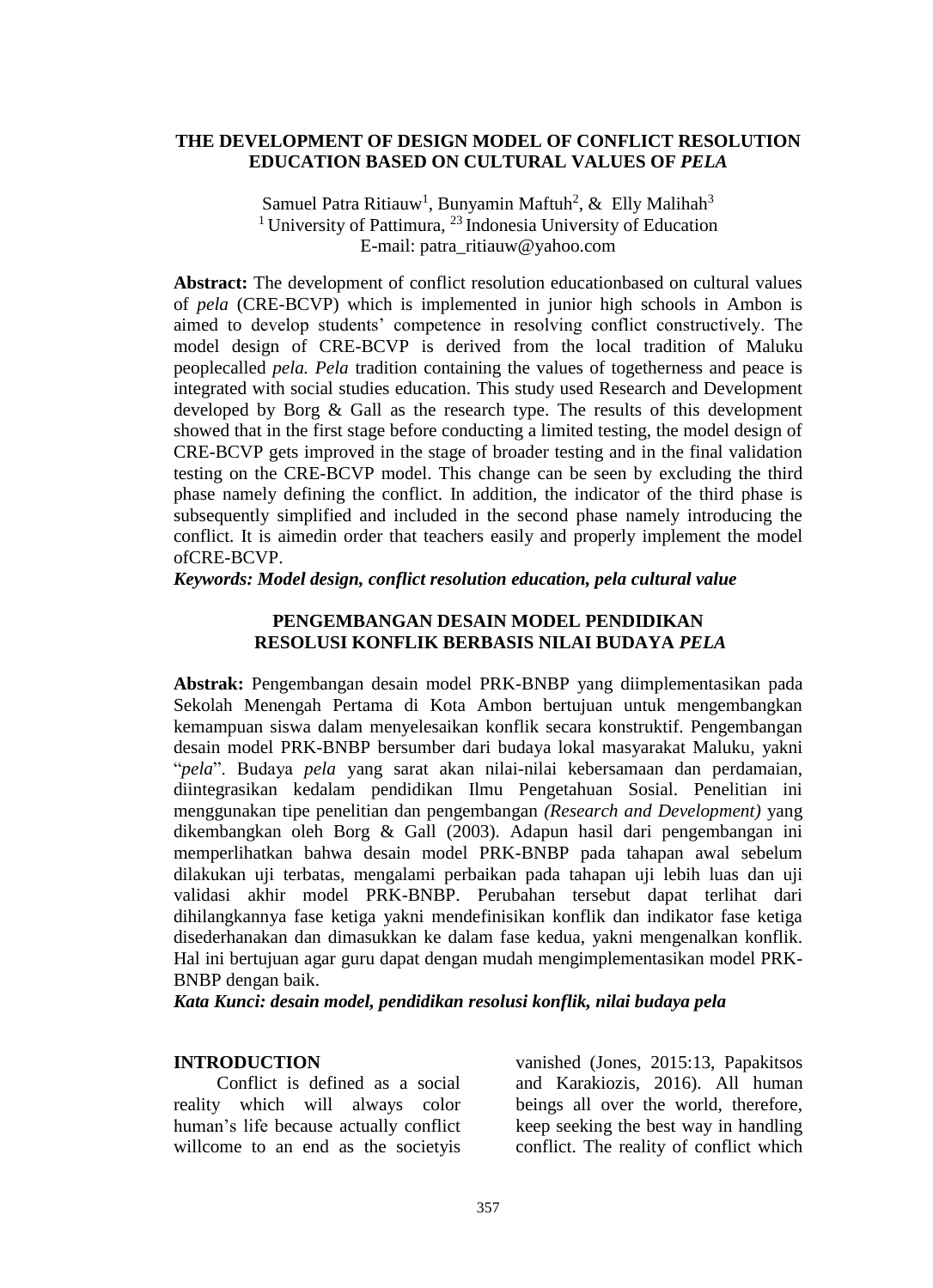## **THE DEVELOPMENT OF DESIGN MODEL OF CONFLICT RESOLUTION EDUCATION BASED ON CULTURAL VALUES OF** *PELA*

Samuel Patra Ritiauw<sup>1</sup>, Bunyamin Maftuh<sup>2</sup>, & Elly Malihah<sup>3</sup> <sup>1</sup> University of Pattimura,  $2<sup>3</sup>$  Indonesia University of Education E-mail: patra\_ritiauw@yahoo.com

**Abstract:** The development of conflict resolution educationbased on cultural values of *pela* (CRE-BCVP) which is implemented in junior high schools in Ambon is aimed to develop students' competence in resolving conflict constructively. The model design of CRE-BCVP is derived from the local tradition of Maluku peoplecalled *pela. Pela* tradition containing the values of togetherness and peace is integrated with social studies education. This study used Research and Development developed by Borg & Gall as the research type. The results of this development showed that in the first stage before conducting a limited testing, the model design of CRE-BCVP gets improved in the stage of broader testing and in the final validation testing on the CRE-BCVP model. This change can be seen by excluding the third phase namely defining the conflict. In addition, the indicator of the third phase is subsequently simplified and included in the second phase namely introducing the conflict. It is aimedin order that teachers easily and properly implement the model ofCRE-BCVP.

*Keywords: Model design, conflict resolution education, pela cultural value* 

## **PENGEMBANGAN DESAIN MODEL PENDIDIKAN RESOLUSI KONFLIK BERBASIS NILAI BUDAYA** *PELA*

**Abstrak:** Pengembangan desain model PRK-BNBP yang diimplementasikan pada Sekolah Menengah Pertama di Kota Ambon bertujuan untuk mengembangkan kemampuan siswa dalam menyelesaikan konflik secara konstruktif. Pengembangan desain model PRK-BNBP bersumber dari budaya lokal masyarakat Maluku, yakni "*pela*". Budaya *pela* yang sarat akan nilai-nilai kebersamaan dan perdamaian, diintegrasikan kedalam pendidikan Ilmu Pengetahuan Sosial. Penelitian ini menggunakan tipe penelitian dan pengembangan *(Research and Development)* yang dikembangkan oleh Borg & Gall (2003). Adapun hasil dari pengembangan ini memperlihatkan bahwa desain model PRK-BNBP pada tahapan awal sebelum dilakukan uji terbatas, mengalami perbaikan pada tahapan uji lebih luas dan uji validasi akhir model PRK-BNBP. Perubahan tersebut dapat terlihat dari dihilangkannya fase ketiga yakni mendefinisikan konflik dan indikator fase ketiga disederhanakan dan dimasukkan ke dalam fase kedua, yakni mengenalkan konflik. Hal ini bertujuan agar guru dapat dengan mudah mengimplementasikan model PRK-BNBP dengan baik.

*Kata Kunci: desain model, pendidikan resolusi konflik, nilai budaya pela*

### **INTRODUCTION**

Conflict is defined as a social reality which will always color human's life because actually conflict willcome to an end as the societyis vanished (Jones, 2015:13, Papakitsos and Karakiozis, 2016). All human beings all over the world, therefore, keep seeking the best way in handling conflict. The reality of conflict which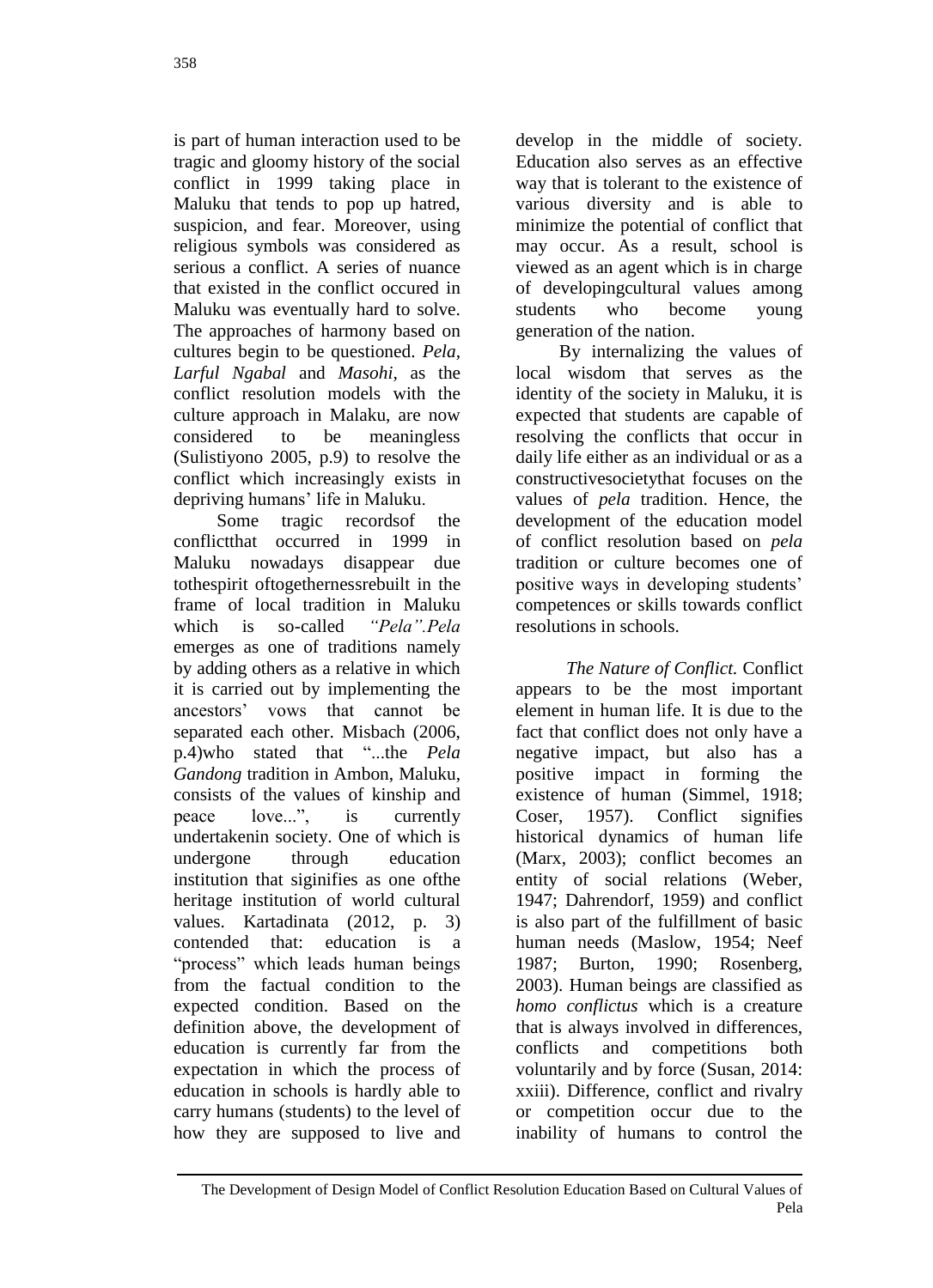is part of human interaction used to be tragic and gloomy history of the social conflict in 1999 taking place in Maluku that tends to pop up hatred, suspicion, and fear. Moreover, using religious symbols was considered as serious a conflict. A series of nuance that existed in the conflict occured in Maluku was eventually hard to solve. The approaches of harmony based on cultures begin to be questioned. *Pela, Larful Ngabal* and *Masohi,* as the conflict resolution models with the culture approach in Malaku, are now considered to be meaningless (Sulistiyono 2005, p.9) to resolve the conflict which increasingly exists in depriving humans' life in Maluku.

Some tragic recordsof the conflictthat occurred in 1999 in Maluku nowadays disappear due tothespirit oftogethernessrebuilt in the frame of local tradition in Maluku which is so-called *"Pela".Pela*  emerges as one of traditions namely by adding others as a relative in which it is carried out by implementing the ancestors' vows that cannot be separated each other. Misbach (2006, p.4)who stated that "...the *Pela Gandong* tradition in Ambon, Maluku, consists of the values of kinship and peace love...", is currently undertakenin society. One of which is undergone through education institution that siginifies as one ofthe heritage institution of world cultural values. Kartadinata (2012, p. 3) contended that: education is a "process" which leads human beings from the factual condition to the expected condition. Based on the definition above, the development of education is currently far from the expectation in which the process of education in schools is hardly able to carry humans (students) to the level of how they are supposed to live and develop in the middle of society. Education also serves as an effective way that is tolerant to the existence of various diversity and is able to minimize the potential of conflict that may occur. As a result, school is viewed as an agent which is in charge of developingcultural values among students who become young generation of the nation.

By internalizing the values of local wisdom that serves as the identity of the society in Maluku, it is expected that students are capable of resolving the conflicts that occur in daily life either as an individual or as a constructivesocietythat focuses on the values of *pela* tradition. Hence, the development of the education model of conflict resolution based on *pela* tradition or culture becomes one of positive ways in developing students' competences or skills towards conflict resolutions in schools.

*The Nature of Conflict.* Conflict appears to be the most important element in human life. It is due to the fact that conflict does not only have a negative impact, but also has a positive impact in forming the existence of human (Simmel, 1918; Coser, 1957). Conflict signifies historical dynamics of human life (Marx, 2003); conflict becomes an entity of social relations (Weber, 1947; Dahrendorf, 1959) and conflict is also part of the fulfillment of basic human needs (Maslow, 1954; Neef 1987; Burton, 1990; Rosenberg, 2003). Human beings are classified as *homo conflictus* which is a creature that is always involved in differences, conflicts and competitions both voluntarily and by force (Susan, 2014: xxiii). Difference, conflict and rivalry or competition occur due to the inability of humans to control the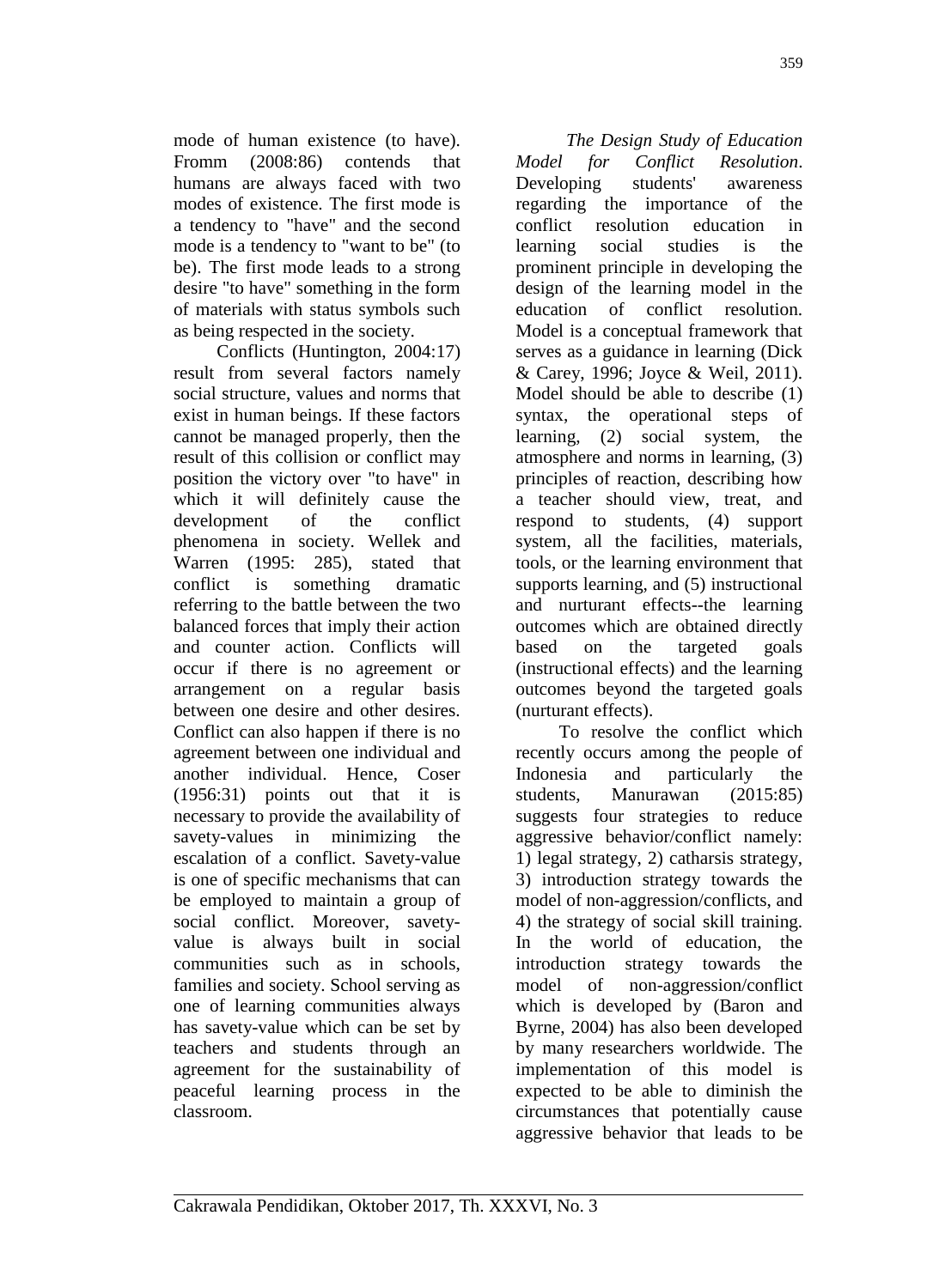mode of human existence (to have).<br>Fromm (2008:86) contends that Fromm  $(2008:86)$  contends humans are always faced with two modes of existence. The first mode is a tendency to "have" and the second mode is a tendency to "want to be" (to be). The first mode leads to a strong desire "to have" something in the form of materials with status symbols such as being respected in the society.

Conflicts (Huntington, 2004:17) result from several factors namely social structure, values and norms that exist in human beings. If these factors cannot be managed properly, then the result of this collision or conflict may position the victory over "to have" in which it will definitely cause the development of the conflict phenomena in society. Wellek and Warren (1995: 285), stated that conflict is something dramatic referring to the battle between the two balanced forces that imply their action and counter action. Conflicts will occur if there is no agreement or arrangement on a regular basis between one desire and other desires. Conflict can also happen if there is no agreement between one individual and another individual. Hence, Coser (1956:31) points out that it is necessary to provide the availability of savety-values in minimizing the escalation of a conflict. Savety-value is one of specific mechanisms that can be employed to maintain a group of social conflict. Moreover, savetyvalue is always built in social communities such as in schools, families and society. School serving as one of learning communities always has savety-value which can be set by teachers and students through an agreement for the sustainability of peaceful learning process in the classroom.

*The Design Study of Education Model for Conflict Resolution*. Developing students' awareness regarding the importance of the conflict resolution education in learning social studies is the prominent principle in developing the design of the learning model in the education of conflict resolution. Model is a conceptual framework that serves as a guidance in learning (Dick & Carey, 1996; Joyce & Weil, 2011). Model should be able to describe (1) syntax, the operational steps of learning, (2) social system, the atmosphere and norms in learning, (3) principles of reaction, describing how a teacher should view, treat, and respond to students, (4) support system, all the facilities, materials, tools, or the learning environment that supports learning, and (5) instructional and nurturant effects--the learning outcomes which are obtained directly based on the targeted goals (instructional effects) and the learning outcomes beyond the targeted goals (nurturant effects).

To resolve the conflict which recently occurs among the people of Indonesia and particularly the students, Manurawan (2015:85) suggests four strategies to reduce aggressive behavior/conflict namely: 1) legal strategy, 2) catharsis strategy, 3) introduction strategy towards the model of non-aggression/conflicts, and 4) the strategy of social skill training. In the world of education, the introduction strategy towards the model of non-aggression/conflict which is developed by (Baron and Byrne, 2004) has also been developed by many researchers worldwide. The implementation of this model is expected to be able to diminish the circumstances that potentially cause aggressive behavior that leads to be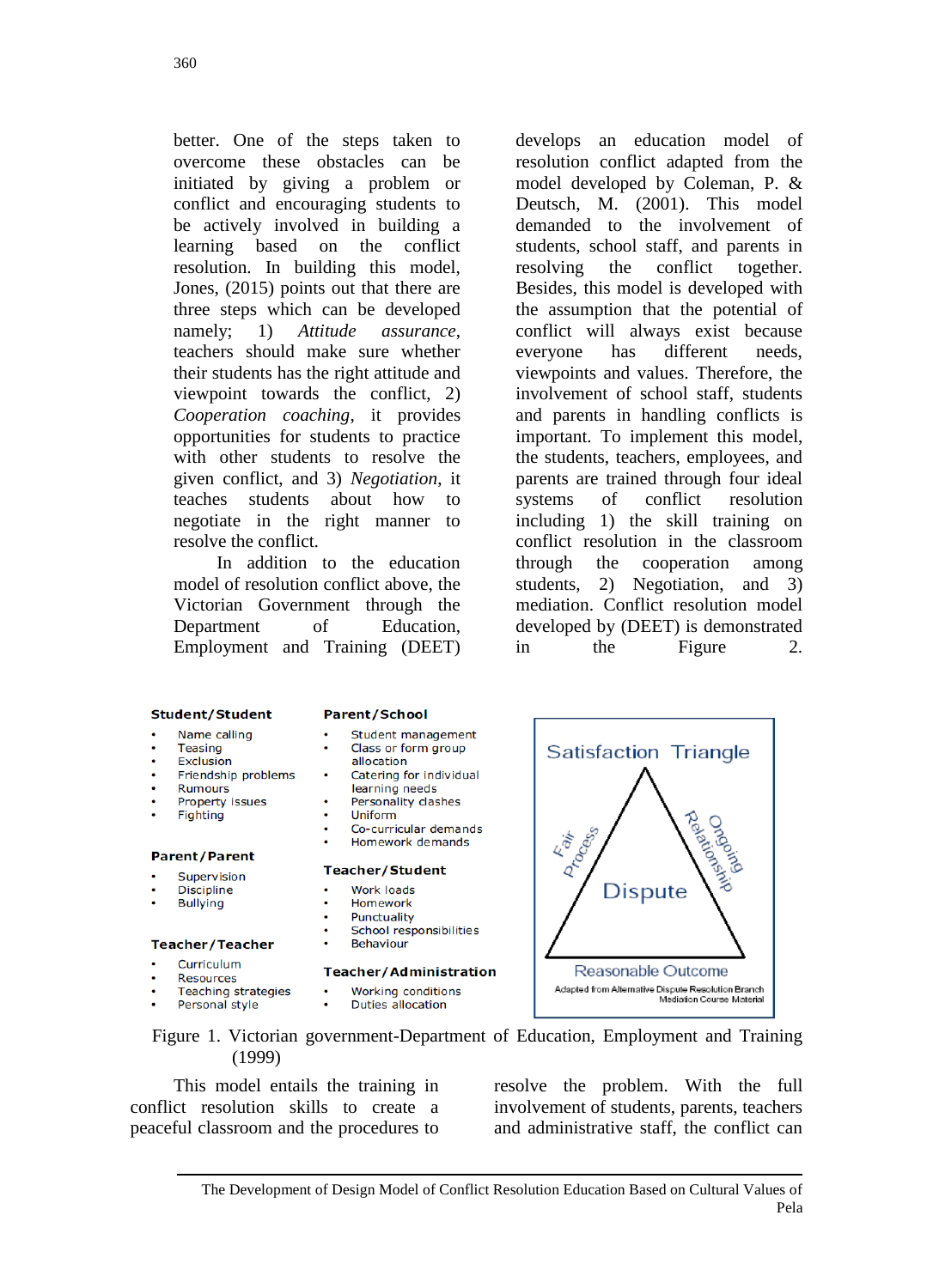better. One of the steps taken to overcome these obstacles can be initiated by giving a problem or conflict and encouraging students to be actively involved in building a learning based on the conflict resolution. In building this model, Jones, (2015) points out that there are three steps which can be developed namely; 1) *Attitude assurance*, teachers should make sure whether their students has the right attitude and viewpoint towards the conflict, 2) *Cooperation coaching*, it provides opportunities for students to practice with other students to resolve the given conflict, and 3) *Negotiation*, it teaches students about how to negotiate in the right manner to resolve the conflict.

In addition to the education model of resolution conflict above, the Victorian Government through the Department of Education, Employment and Training (DEET)

develops an education model of resolution conflict adapted from the model developed by Coleman, P. & Deutsch, M. (2001). This model demanded to the involvement of students, school staff, and parents in resolving the conflict together. Besides, this model is developed with the assumption that the potential of conflict will always exist because everyone has different needs, viewpoints and values. Therefore, the involvement of school staff, students and parents in handling conflicts is important. To implement this model, the students, teachers, employees, and parents are trained through four ideal systems of conflict resolution including 1) the skill training on conflict resolution in the classroom through the cooperation among students, 2) Negotiation, and 3) mediation. Conflict resolution model developed by (DEET) is demonstrated in the Figure 2.

### **Student/Student**

- Name calling
- Teasing
- Exclusion
- Friendship problems
- **Rumours**
- Property issues
- Fighting

### **Parent/Parent**

- Supervision
- **Discipline**
- **Bullying**

#### **Teacher/Teacher**

- Curriculum
- Resources
- Teaching strategies
- Personal style

#### **Parent/School**

- Student management
- Class or form group allocation
- Catering for individual learning needs
- Personality clashes
- Uniform
- Co-curricular demands
- Homework demands

#### **Teacher/Student**

- **Work loads**
- Homework
- Punctuality ۰
- School responsibilities **Behaviour**

#### Teacher/Administration

- Working conditions
- Duties allocation

Satisfaction Triangle D-DOCES **Kaik** Dispute

Figure 1. Victorian government-Department of Education, Employment and Training (1999)

This model entails the training in conflict resolution skills to create a peaceful classroom and the procedures to resolve the problem. With the full involvement of students, parents, teachers and administrative staff, the conflict can

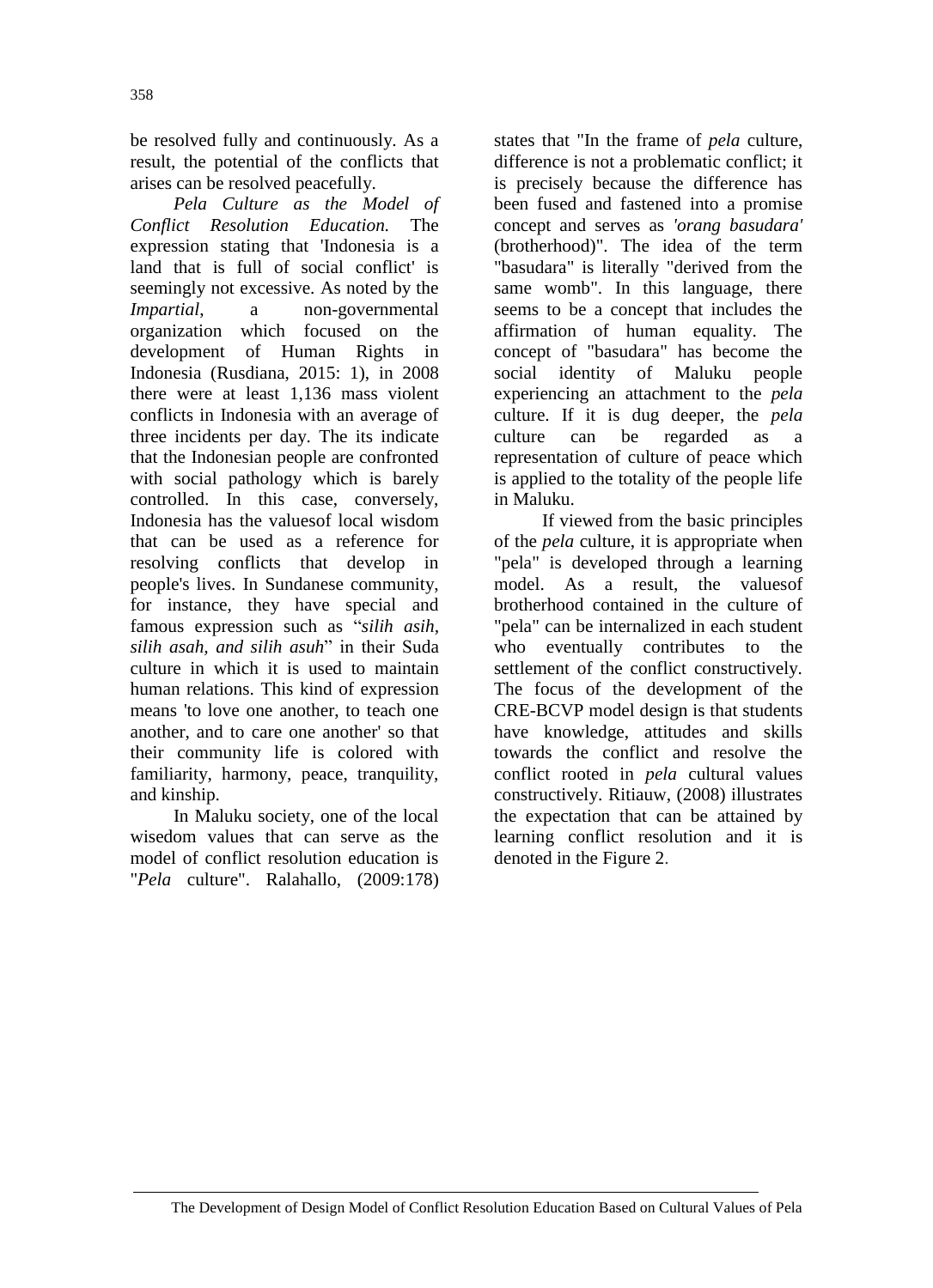be resolved fully and continuously. As a result, the potential of the conflicts that arises can be resolved peacefully.

*Pela Culture as the Model of Conflict Resolution Education.* The expression stating that 'Indonesia is a land that is full of social conflict' is seemingly not excessive. As noted by the *Impartial*, a non-governmental organization which focused on the development of Human Rights in Indonesia (Rusdiana, 2015: 1), in 2008 there were at least 1,136 mass violent conflicts in Indonesia with an average of three incidents per day. The its indicate that the Indonesian people are confronted with social pathology which is barely controlled. In this case, conversely, Indonesia has the valuesof local wisdom that can be used as a reference for resolving conflicts that develop in people's lives. In Sundanese community, for instance, they have special and famous expression such as "*silih asih, silih asah, and silih asuh*" in their Suda culture in which it is used to maintain human relations. This kind of expression means 'to love one another, to teach one another, and to care one another' so that their community life is colored with familiarity, harmony, peace, tranquility, and kinship.

In Maluku society, one of the local wisedom values that can serve as the model of conflict resolution education is "*Pela* culture". Ralahallo, (2009:178)

states that "In the frame of *pela* culture, difference is not a problematic conflict; it is precisely because the difference has been fused and fastened into a promise concept and serves as *'orang basudara'* (brotherhood)". The idea of the term "basudara" is literally "derived from the same womb". In this language, there seems to be a concept that includes the affirmation of human equality. The concept of "basudara" has become the social identity of Maluku people experiencing an attachment to the *pela* culture. If it is dug deeper, the *pela* culture can be regarded as a representation of culture of peace which is applied to the totality of the people life in Maluku.

If viewed from the basic principles of the *pela* culture, it is appropriate when "pela" is developed through a learning model. As a result, the valuesof brotherhood contained in the culture of "pela" can be internalized in each student who eventually contributes to the settlement of the conflict constructively. The focus of the development of the CRE-BCVP model design is that students have knowledge, attitudes and skills towards the conflict and resolve the conflict rooted in *pela* cultural values constructively. Ritiauw, (2008) illustrates the expectation that can be attained by learning conflict resolution and it is denoted in the Figure 2.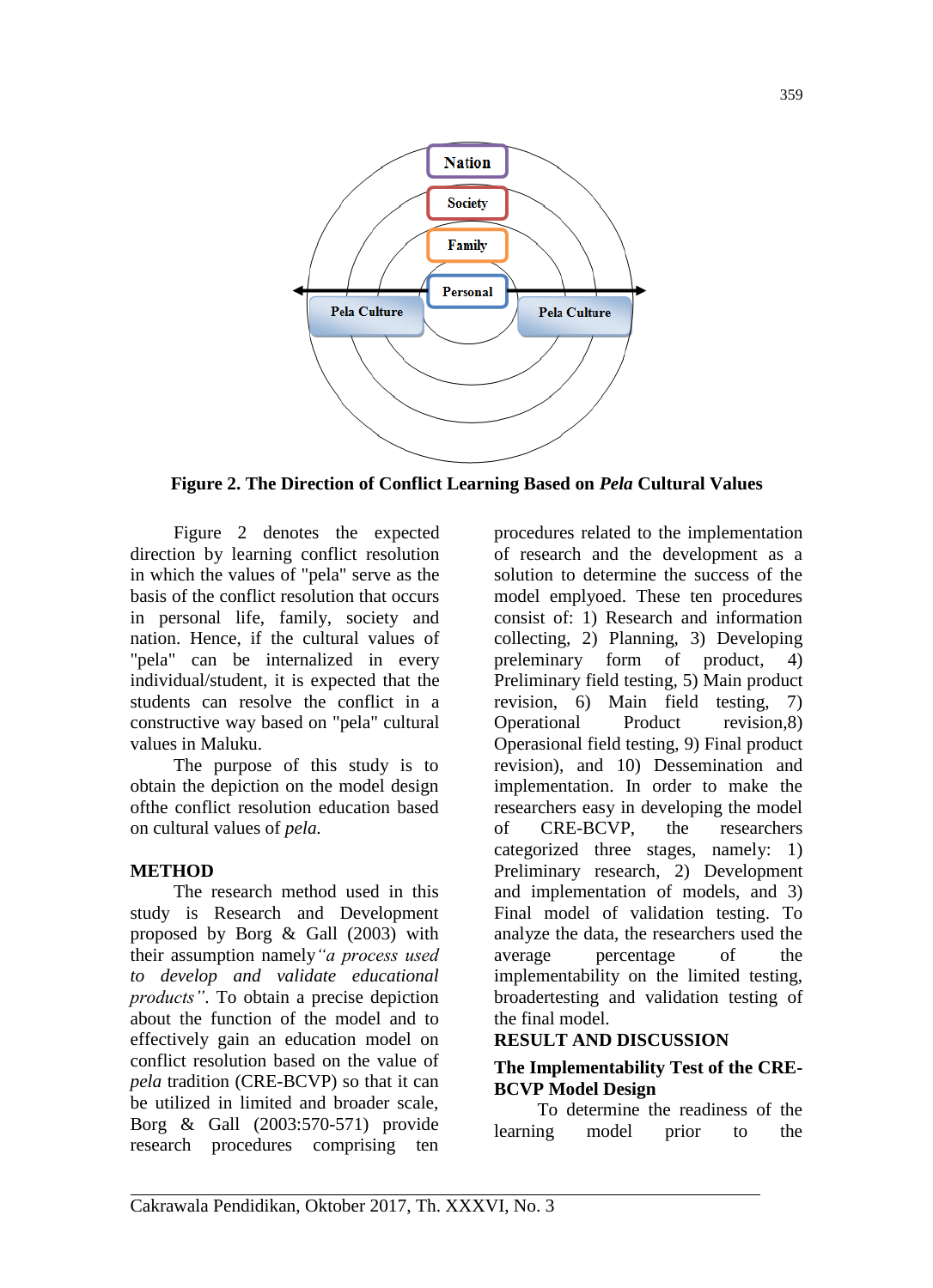

**Figure 2. The Direction of Conflict Learning Based on** *Pela* **Cultural Values**

Figure 2 denotes the expected direction by learning conflict resolution in which the values of "pela" serve as the basis of the conflict resolution that occurs in personal life, family, society and nation. Hence, if the cultural values of "pela" can be internalized in every individual/student, it is expected that the students can resolve the conflict in a constructive way based on "pela" cultural values in Maluku.

The purpose of this study is to obtain the depiction on the model design ofthe conflict resolution education based on cultural values of *pela.*

### **METHOD**

The research method used in this study is Research and Development proposed by Borg & Gall (2003) with their assumption namely*"a process used to develop and validate educational products"*. To obtain a precise depiction about the function of the model and to effectively gain an education model on conflict resolution based on the value of *pela* tradition (CRE-BCVP) so that it can be utilized in limited and broader scale, Borg & Gall (2003:570-571) provide research procedures comprising ten

procedures related to the implementation of research and the development as a solution to determine the success of the model emplyoed. These ten procedures consist of: 1) Research and information collecting, 2) Planning, 3) Developing preleminary form of product, 4) Preliminary field testing, 5) Main product revision, 6) Main field testing, 7) Operational Product revision,8) Operasional field testing, 9) Final product revision), and 10) Dessemination and implementation. In order to make the researchers easy in developing the model of CRE-BCVP, the researchers categorized three stages, namely: 1) Preliminary research, 2) Development and implementation of models, and 3) Final model of validation testing. To analyze the data, the researchers used the average percentage of the implementability on the limited testing, broadertesting and validation testing of the final model.

### **RESULT AND DISCUSSION**

## **The Implementability Test of the CRE-BCVP Model Design**

To determine the readiness of the learning model prior to the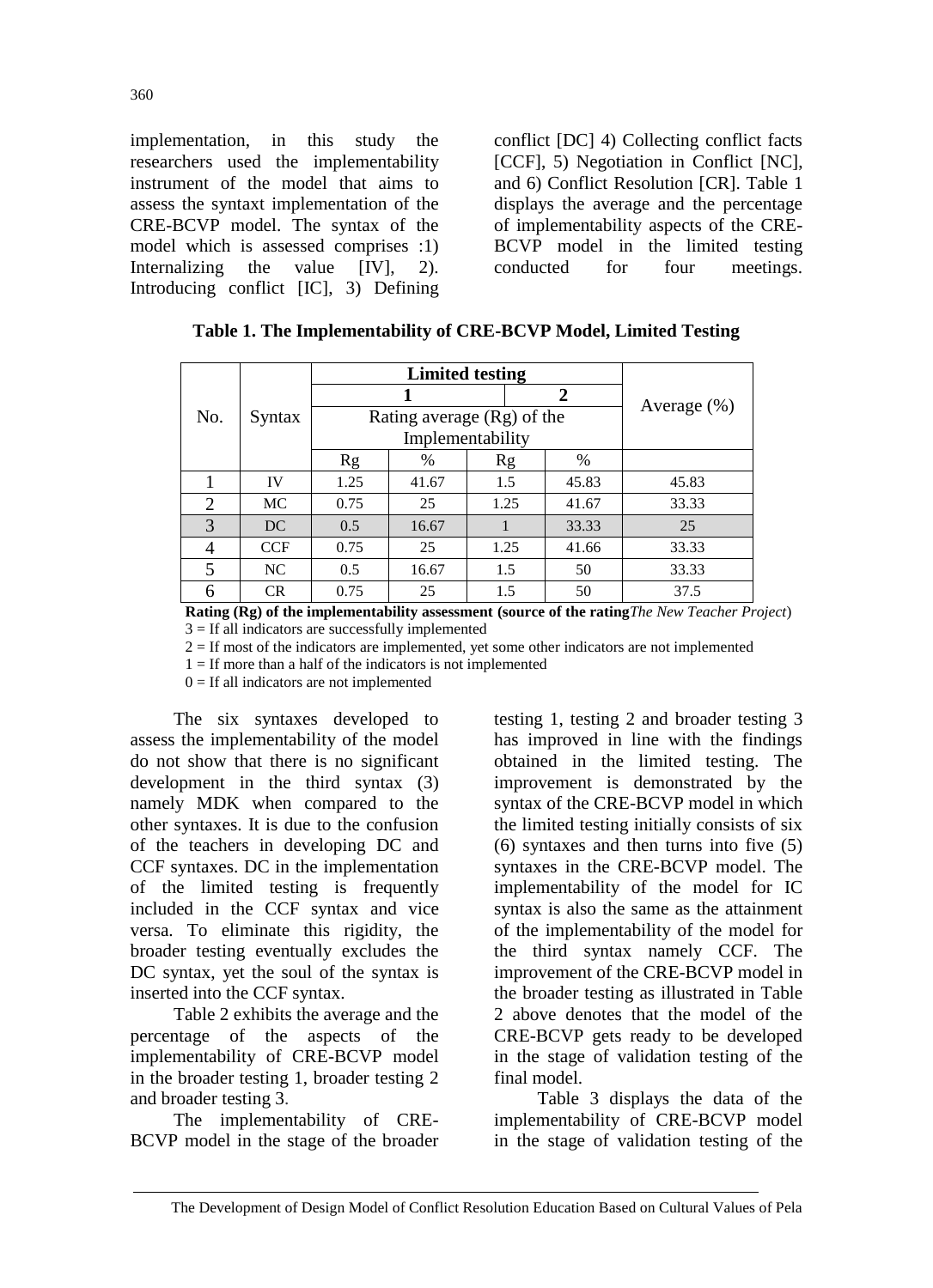implementation, in this study the researchers used the implementability instrument of the model that aims to assess the syntaxt implementation of the CRE-BCVP model. The syntax of the model which is assessed comprises :1) Internalizing the value [IV], 2). Introducing conflict [IC], 3) Defining

conflict [DC] 4) Collecting conflict facts [CCF], 5) Negotiation in Conflict [NC], and 6) Conflict Resolution [CR]. Table 1 displays the average and the percentage of implementability aspects of the CRE-BCVP model in the limited testing conducted for four meetings.

| No.            |            |      |                            |      |                |       |
|----------------|------------|------|----------------------------|------|----------------|-------|
|                |            |      |                            |      | $\overline{2}$ |       |
|                | Syntax     |      | Rating average (Rg) of the |      | Average $(\%)$ |       |
|                |            |      |                            |      |                |       |
|                |            | Rg   | $\%$                       | Rg   | %              |       |
|                | IV         | 1.25 | 41.67                      | 1.5  | 45.83          | 45.83 |
| $\overline{2}$ | <b>MC</b>  | 0.75 | 25                         | 1.25 | 41.67          | 33.33 |
| 3              | DC         | 0.5  | 16.67                      |      | 33.33          | 25    |
| 4              | <b>CCF</b> | 0.75 | 25                         | 1.25 | 41.66          | 33.33 |
| 5              | NC         | 0.5  | 16.67                      | 1.5  | 50             | 33.33 |
| 6              | <b>CR</b>  | 0.75 | 25                         | 1.5  | 50             | 37.5  |

|  |  |  |  | Table 1. The Implementability of CRE-BCVP Model, Limited Testing |  |
|--|--|--|--|------------------------------------------------------------------|--|
|--|--|--|--|------------------------------------------------------------------|--|

**Rating (Rg) of the implementability assessment (source of the rating***The New Teacher Project*)  $3 =$  If all indicators are successfully implemented

 $2 =$  If most of the indicators are implemented, yet some other indicators are not implemented

 $1 =$  If more than a half of the indicators is not implemented

 $0 =$  If all indicators are not implemented

The six syntaxes developed to assess the implementability of the model do not show that there is no significant development in the third syntax (3) namely MDK when compared to the other syntaxes. It is due to the confusion of the teachers in developing DC and CCF syntaxes. DC in the implementation of the limited testing is frequently included in the CCF syntax and vice versa. To eliminate this rigidity, the broader testing eventually excludes the DC syntax, yet the soul of the syntax is inserted into the CCF syntax.

Table 2 exhibits the average and the percentage of the aspects of the implementability of CRE-BCVP model in the broader testing 1, broader testing 2 and broader testing 3.

The implementability of CRE-BCVP model in the stage of the broader testing 1, testing 2 and broader testing 3 has improved in line with the findings obtained in the limited testing. The improvement is demonstrated by the syntax of the CRE-BCVP model in which the limited testing initially consists of six  $(6)$  syntaxes and then turns into five  $(5)$ syntaxes in the CRE-BCVP model. The implementability of the model for IC syntax is also the same as the attainment of the implementability of the model for the third syntax namely CCF. The improvement of the CRE-BCVP model in the broader testing as illustrated in Table 2 above denotes that the model of the CRE-BCVP gets ready to be developed in the stage of validation testing of the final model.

Table 3 displays the data of the implementability of CRE-BCVP model in the stage of validation testing of the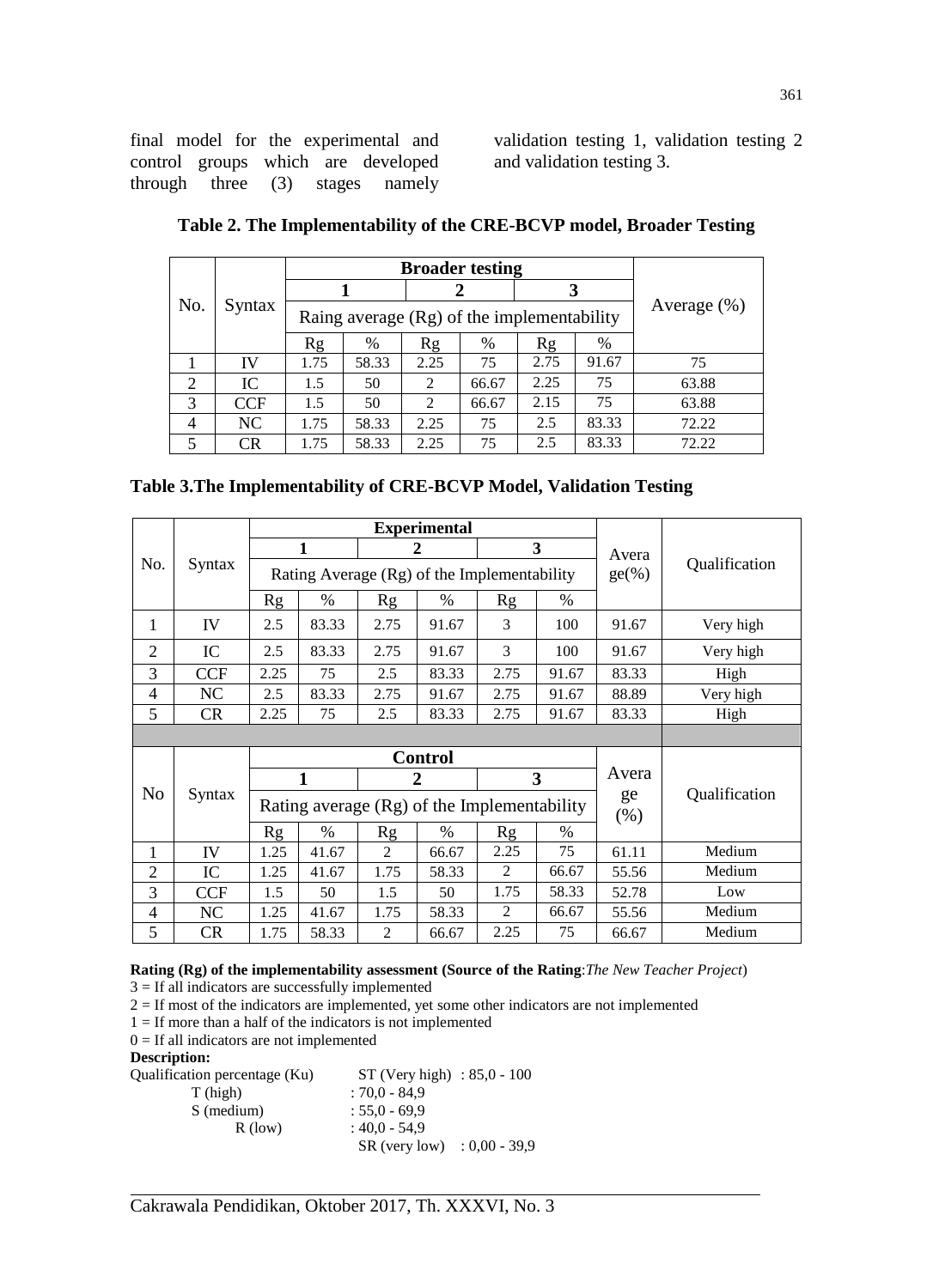final model for the experimental and control groups which are developed through three (3) stages namely

validation testing 1, validation testing 2 and validation testing 3.

| No.            |            |      | <b>Broader testing</b>                       |                |       |      |       |       |
|----------------|------------|------|----------------------------------------------|----------------|-------|------|-------|-------|
|                | Syntax     |      |                                              |                |       |      |       |       |
|                |            |      | Raing average $(Rg)$ of the implementability | Average $(\%)$ |       |      |       |       |
|                |            | Rg   | %                                            | Rg             | $\%$  | Rg   | %     |       |
|                | IV         | 1.75 | 58.33                                        | 2.25           | 75    | 2.75 | 91.67 | 75    |
| 2              | IC         | 1.5  | 50                                           | 2              | 66.67 | 2.25 | 75    | 63.88 |
| 3              | <b>CCF</b> | 1.5  | 50                                           | 2              | 66.67 | 2.15 | 75    | 63.88 |
| $\overline{4}$ | NC         | 1.75 | 58.33                                        | 2.25           | 75    | 2.5  | 83.33 | 72.22 |
| 5              | <b>CR</b>  | 1.75 | 58.33                                        | 2.25           | 75    | 2.5  | 83.33 | 72.22 |

|  |  |  |  | Table 3. The Implementability of CRE-BCVP Model, Validation Testing |  |
|--|--|--|--|---------------------------------------------------------------------|--|
|--|--|--|--|---------------------------------------------------------------------|--|

|                |            | <b>Experimental</b>                           |       |                |                |       |            |               |               |  |
|----------------|------------|-----------------------------------------------|-------|----------------|----------------|-------|------------|---------------|---------------|--|
| No.            |            |                                               | 1     |                | 2              |       | 3          | Avera         |               |  |
|                | Syntax     | Rating Average (Rg) of the Implementability   |       |                |                |       |            | $ge(\%)$      | Qualification |  |
|                |            | <b>Rg</b>                                     | $\%$  | Rg             | $\%$           | Rg    | $\%$       |               |               |  |
| 1              | IV         | 2.5                                           | 83.33 | 2.75           | 91.67          | 3     | 100        | 91.67         | Very high     |  |
| $\overline{2}$ | IC         | 2.5                                           | 83.33 | 2.75           | 91.67          | 3     | 100        | 91.67         | Very high     |  |
| 3              | <b>CCF</b> | 2.25                                          | 75    | 2.5            | 83.33          | 2.75  | 91.67      | 83.33         | High          |  |
| $\overline{4}$ | NC         | 2.5                                           | 83.33 | 2.75           | 91.67          | 2.75  | 91.67      | 88.89         | Very high     |  |
| 5              | <b>CR</b>  | 2.25<br>75<br>2.5<br>83.33                    |       | 2.75           | 91.67          | 83.33 | High       |               |               |  |
|                |            |                                               |       |                |                |       |            |               |               |  |
|                |            |                                               |       | <b>Control</b> |                |       |            |               |               |  |
|                | Syntax     |                                               | 1     |                | $\overline{2}$ |       | 3          | Avera         |               |  |
| N <sub>o</sub> |            | Rating average $(Rg)$ of the Implementability |       |                |                |       | ge<br>(% ) | Qualification |               |  |
|                |            | Rg                                            | $\%$  | Rg             | %              | Rg    | $\%$       |               |               |  |
| 1              | IV         | 1.25                                          | 41.67 | 2              | 66.67          | 2.25  | 75         | 61.11         | Medium        |  |
| $\overline{2}$ | IC         | 1.25                                          | 41.67 | 1.75           | 58.33          | 2     | 66.67      | 55.56         | Medium        |  |
| 3              | <b>CCF</b> | 1.5                                           | 50    | 1.5            | 50             | 1.75  | 58.33      | 52.78         | Low           |  |
| $\overline{4}$ | NC         | 1.25                                          | 41.67 | 1.75           | 58.33          | 2     | 66.67      | 55.56         | Medium        |  |
| 5              | <b>CR</b>  | 1.75                                          | 58.33 | $\overline{c}$ | 66.67          | 2.25  | 75         | 66.67         | Medium        |  |

### **Rating (Rg) of the implementability assessment (Source of the Rating**:*The New Teacher Project*)  $3 =$  If all indicators are successfully implemented

2 = If most of the indicators are implemented, yet some other indicators are not implemented

 $1 =$  If more than a half of the indicators is not implemented

 $0 =$  If all indicators are not implemented

## **Description:**

| Qualification percentage (Ku) | $ST$ (Very high) : 85,0 - 100 |  |
|-------------------------------|-------------------------------|--|
| T (high)                      | $:70.0 - 84.9$                |  |
| S (medium)                    | $: 55.0 - 69.9$               |  |
| $R$ (low)                     | $:40.0 - 54.9$                |  |
|                               | $SR$ (very low) : 0,00 - 39,9 |  |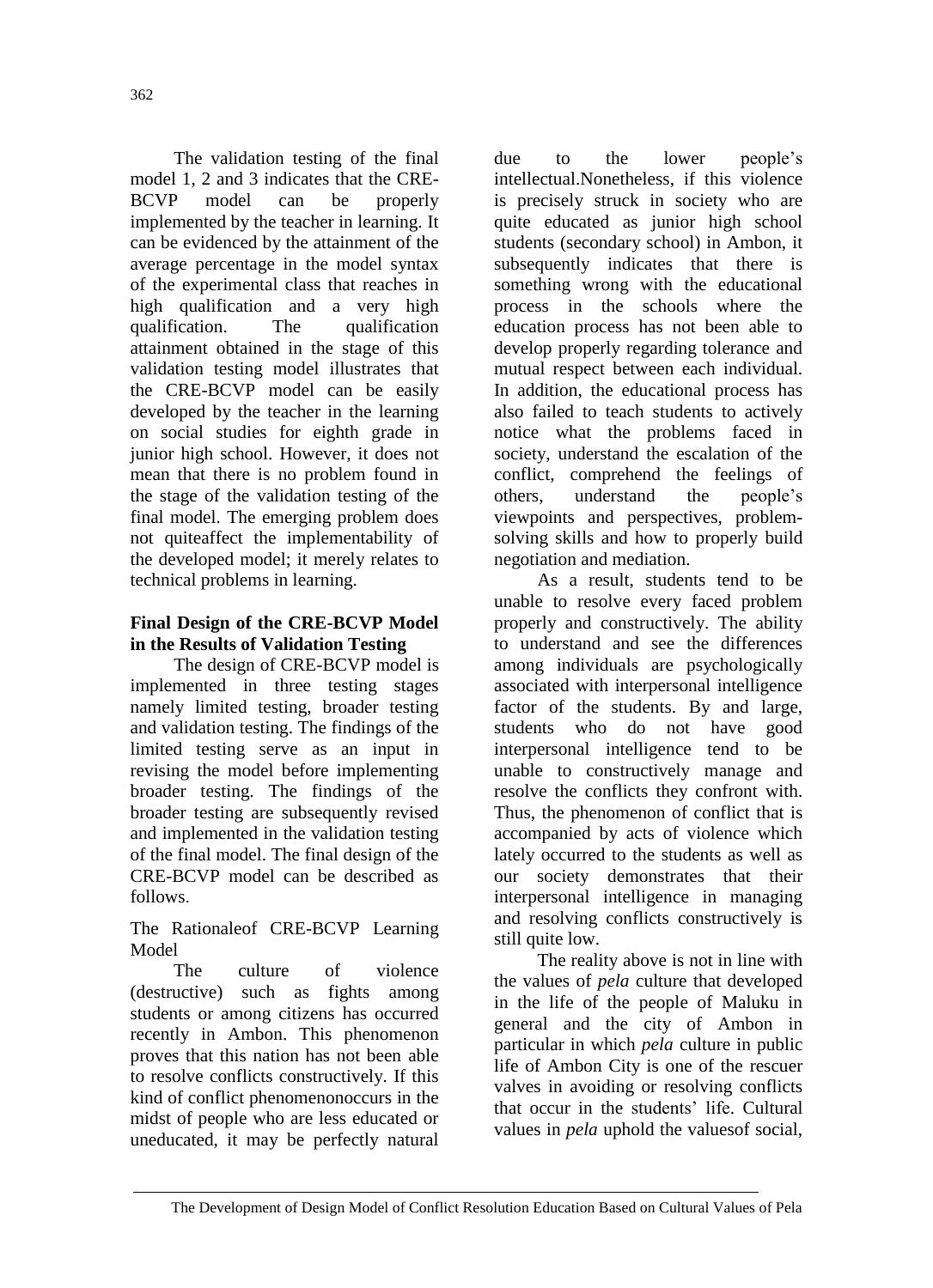The validation testing of the final model 1, 2 and 3 indicates that the CRE-BCVP model can be properly implemented by the teacher in learning. It can be evidenced by the attainment of the average percentage in the model syntax of the experimental class that reaches in high qualification and a very high qualification. The qualification attainment obtained in the stage of this validation testing model illustrates that the CRE-BCVP model can be easily developed by the teacher in the learning on social studies for eighth grade in junior high school. However, it does not mean that there is no problem found in the stage of the validation testing of the final model. The emerging problem does not quiteaffect the implementability of the developed model; it merely relates to technical problems in learning.

# **Final Design of the CRE-BCVP Model in the Results of Validation Testing**

The design of CRE-BCVP model is implemented in three testing stages namely limited testing, broader testing and validation testing. The findings of the limited testing serve as an input in revising the model before implementing broader testing. The findings of the broader testing are subsequently revised and implemented in the validation testing of the final model. The final design of the CRE-BCVP model can be described as follows.

The Rationaleof CRE-BCVP Learning **Model** 

The culture of violence (destructive) such as fights among students or among citizens has occurred recently in Ambon. This phenomenon proves that this nation has not been able to resolve conflicts constructively. If this kind of conflict phenomenonoccurs in the midst of people who are less educated or uneducated, it may be perfectly natural

due to the lower people's intellectual.Nonetheless, if this violence is precisely struck in society who are quite educated as junior high school students (secondary school) in Ambon, it subsequently indicates that there is something wrong with the educational process in the schools where the education process has not been able to develop properly regarding tolerance and mutual respect between each individual. In addition, the educational process has also failed to teach students to actively notice what the problems faced in society, understand the escalation of the conflict, comprehend the feelings of others, understand the people's viewpoints and perspectives, problemsolving skills and how to properly build negotiation and mediation.

As a result, students tend to be unable to resolve every faced problem properly and constructively. The ability to understand and see the differences among individuals are psychologically associated with interpersonal intelligence factor of the students. By and large, students who do not have good interpersonal intelligence tend to be unable to constructively manage and resolve the conflicts they confront with. Thus, the phenomenon of conflict that is accompanied by acts of violence which lately occurred to the students as well as our society demonstrates that their interpersonal intelligence in managing and resolving conflicts constructively is still quite low.

The reality above is not in line with the values of *pela* culture that developed in the life of the people of Maluku in general and the city of Ambon in particular in which *pela* culture in public life of Ambon City is one of the rescuer valves in avoiding or resolving conflicts that occur in the students' life. Cultural values in *pela* uphold the valuesof social,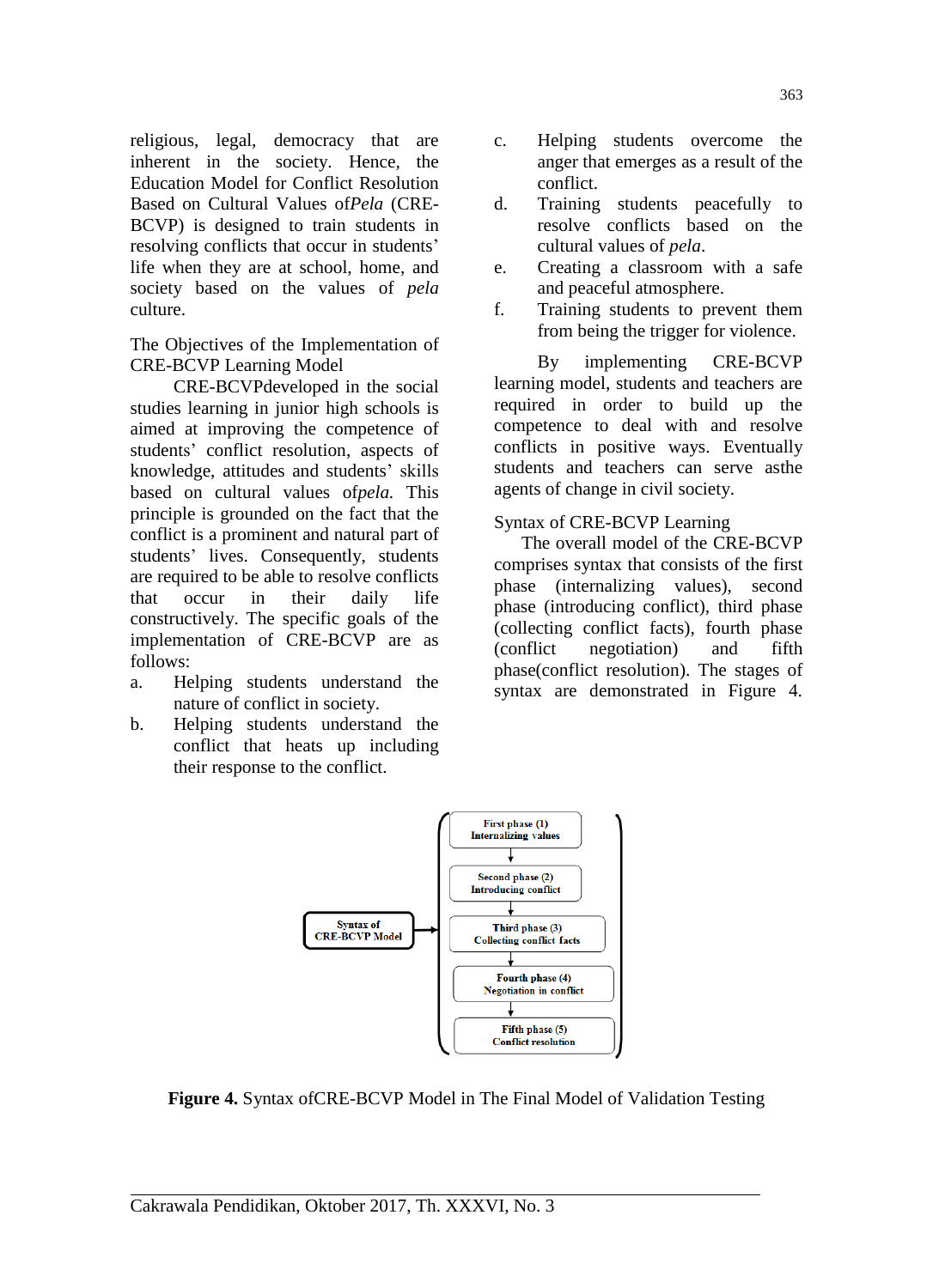religious, legal, democracy that are inherent in the society. Hence, the Education Model for Conflict Resolution Based on Cultural Values of*Pela* (CRE-BCVP) is designed to train students in resolving conflicts that occur in students' life when they are at school, home, and society based on the values of *pela*  culture.

The Objectives of the Implementation of CRE-BCVP Learning Model

CRE-BCVPdeveloped in the social studies learning in junior high schools is aimed at improving the competence of students' conflict resolution, aspects of knowledge, attitudes and students' skills based on cultural values of*pela.* This principle is grounded on the fact that the conflict is a prominent and natural part of students' lives. Consequently, students are required to be able to resolve conflicts that occur in their daily life constructively. The specific goals of the implementation of CRE-BCVP are as follows:

- a. Helping students understand the nature of conflict in society.
- b. Helping students understand the conflict that heats up including their response to the conflict.
- c. Helping students overcome the anger that emerges as a result of the conflict.
- d. Training students peacefully to resolve conflicts based on the cultural values of *pela*.
- e. Creating a classroom with a safe and peaceful atmosphere.
- f. Training students to prevent them from being the trigger for violence.

By implementing CRE-BCVP learning model, students and teachers are required in order to build up the competence to deal with and resolve conflicts in positive ways. Eventually students and teachers can serve asthe agents of change in civil society.

## Syntax of CRE-BCVP Learning

The overall model of the CRE-BCVP comprises syntax that consists of the first phase (internalizing values), second phase (introducing conflict), third phase (collecting conflict facts), fourth phase (conflict negotiation) and fifth phase(conflict resolution). The stages of syntax are demonstrated in Figure 4.



**Figure 4.** Syntax ofCRE-BCVP Model in The Final Model of Validation Testing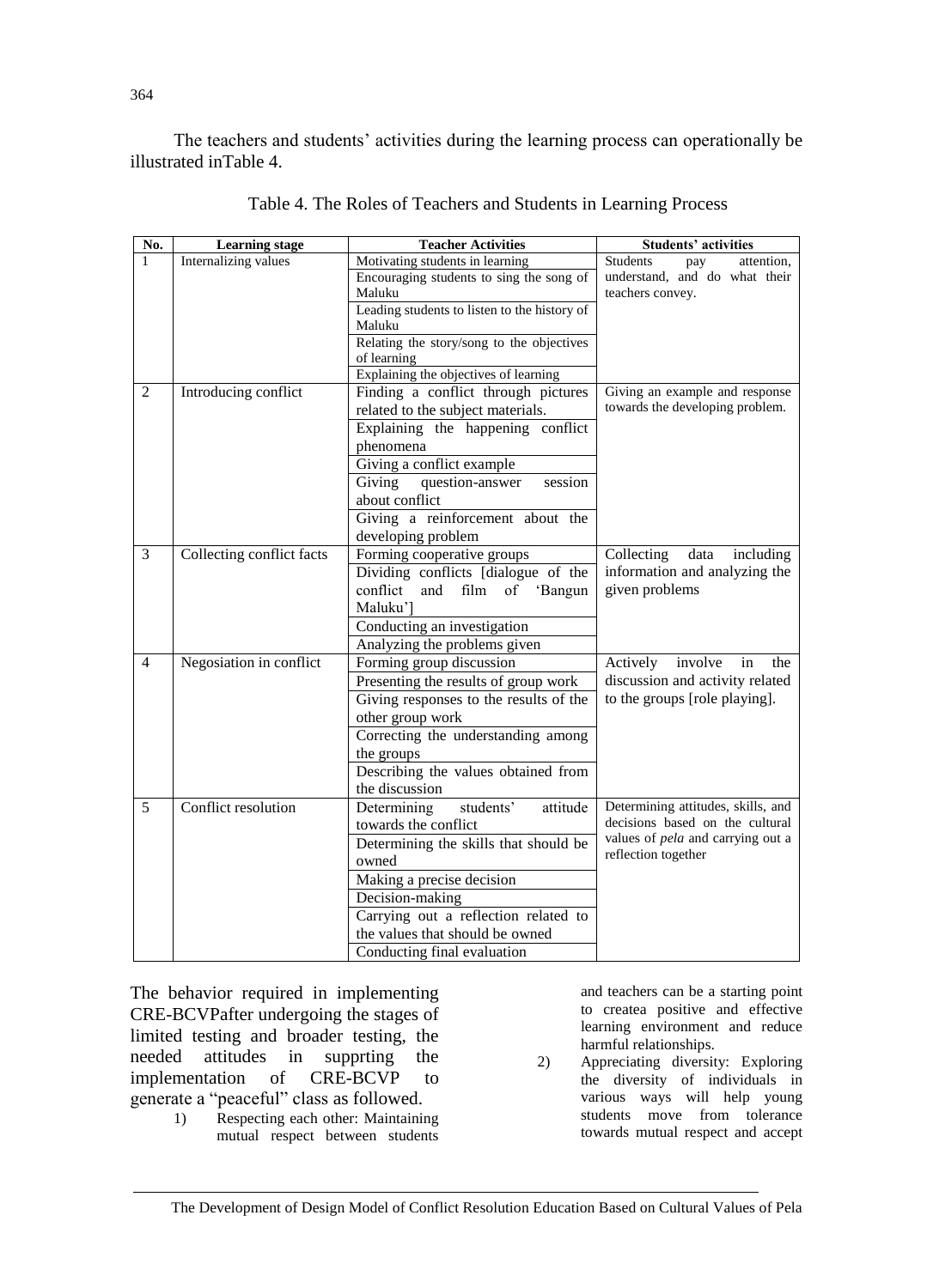The teachers and students' activities during the learning process can operationally be illustrated inTable 4.

| No.            | <b>Learning stage</b>     | <b>Teacher Activities</b>                    | <b>Students' activities</b>        |
|----------------|---------------------------|----------------------------------------------|------------------------------------|
| $\mathbf{1}$   | Internalizing values      | Motivating students in learning              | Students<br>attention,<br>pay      |
|                |                           | Encouraging students to sing the song of     | understand, and do what their      |
|                |                           | Maluku                                       | teachers convey.                   |
|                |                           | Leading students to listen to the history of |                                    |
|                |                           | Maluku                                       |                                    |
|                |                           | Relating the story/song to the objectives    |                                    |
|                |                           | of learning                                  |                                    |
|                |                           | Explaining the objectives of learning        | Giving an example and response     |
| $\overline{2}$ | Introducing conflict      | Finding a conflict through pictures          | towards the developing problem.    |
|                |                           | related to the subject materials.            |                                    |
|                |                           | Explaining the happening conflict            |                                    |
|                |                           | phenomena                                    |                                    |
|                |                           | Giving a conflict example                    |                                    |
|                |                           | Giving<br>question-answer<br>session         |                                    |
|                |                           | about conflict                               |                                    |
|                |                           | Giving a reinforcement about the             |                                    |
|                |                           | developing problem                           |                                    |
| 3              | Collecting conflict facts | Forming cooperative groups                   | data<br>Collecting<br>including    |
|                |                           | Dividing conflicts [dialogue of the          | information and analyzing the      |
|                |                           | conflict<br>film of 'Bangun<br>and           | given problems                     |
|                |                           | Maluku'l                                     |                                    |
|                |                           | Conducting an investigation                  |                                    |
|                |                           | Analyzing the problems given                 |                                    |
| $\overline{4}$ | Negosiation in conflict   | Forming group discussion                     | involve<br>Actively<br>in<br>the   |
|                |                           | Presenting the results of group work         | discussion and activity related    |
|                |                           | Giving responses to the results of the       | to the groups [role playing].      |
|                |                           | other group work                             |                                    |
|                |                           | Correcting the understanding among           |                                    |
|                |                           | the groups                                   |                                    |
|                |                           | Describing the values obtained from          |                                    |
|                |                           | the discussion                               |                                    |
| 5              | Conflict resolution       | Determining<br>students'<br>attitude         | Determining attitudes, skills, and |
|                |                           | towards the conflict                         | decisions based on the cultural    |
|                |                           | Determining the skills that should be        | values of pela and carrying out a  |
|                |                           | owned                                        | reflection together                |
|                |                           | Making a precise decision                    |                                    |
|                |                           | Decision-making                              |                                    |
|                |                           | Carrying out a reflection related to         |                                    |
|                |                           | the values that should be owned              |                                    |
|                |                           | Conducting final evaluation                  |                                    |

| Table 4. The Roles of Teachers and Students in Learning Process |  |  |
|-----------------------------------------------------------------|--|--|
|-----------------------------------------------------------------|--|--|

The behavior required in implementing CRE-BCVPafter undergoing the stages of limited testing and broader testing, the needed attitudes in supprting the implementation of CRE-BCVP to generate a "peaceful" class as followed.

1) Respecting each other: Maintaining mutual respect between students

and teachers can be a starting point to createa positive and effective learning environment and reduce harmful relationships.

2) Appreciating diversity: Exploring the diversity of individuals in various ways will help young students move from tolerance towards mutual respect and accept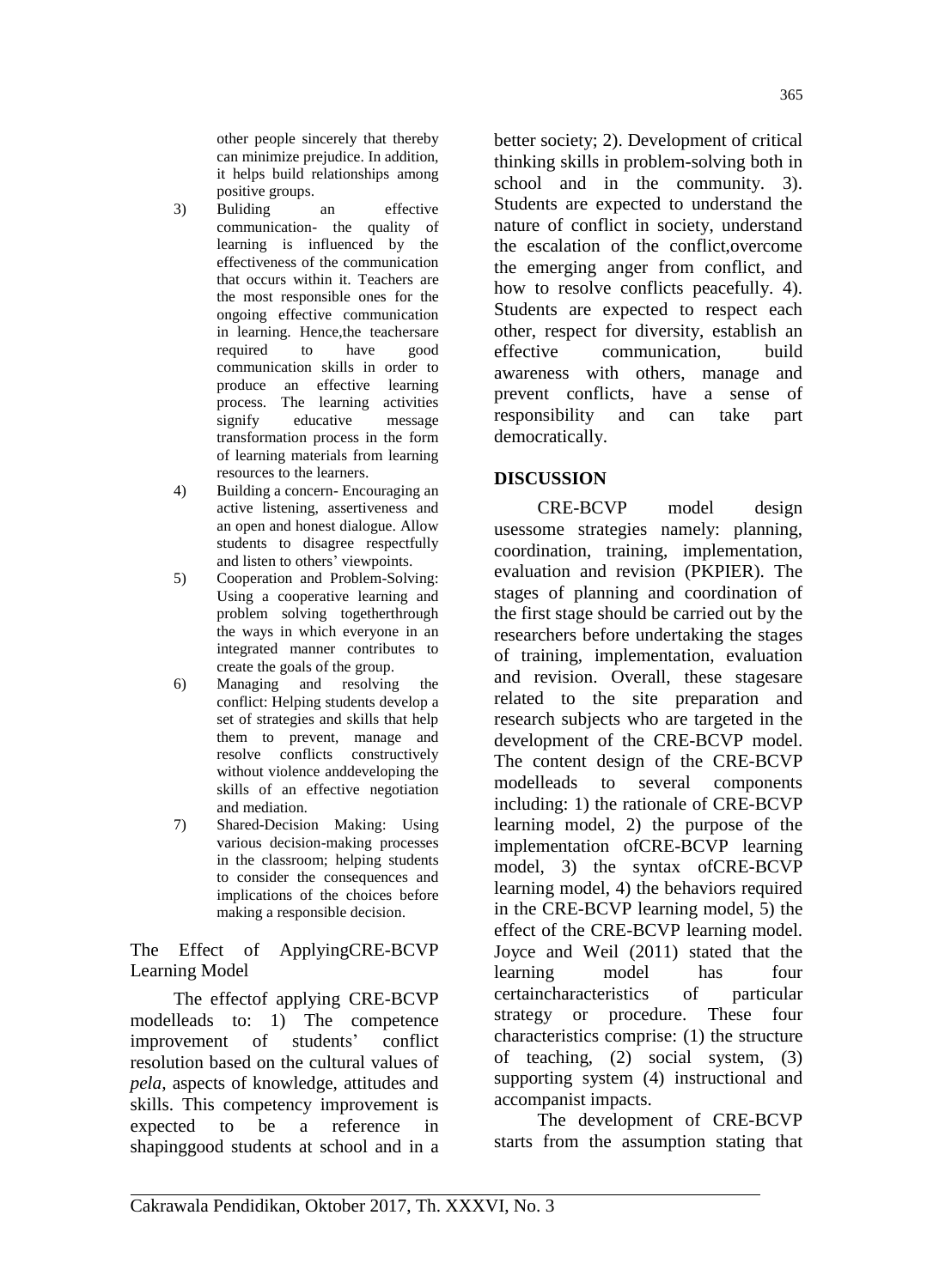other people sincerely that thereby can minimize prejudice. In addition, it helps build relationships among positive groups.

- 3) Buliding an effective communication- the quality of learning is influenced by the effectiveness of the communication that occurs within it. Teachers are the most responsible ones for the ongoing effective communication in learning. Hence, the teachersare<br>required to have good required to have good communication skills in order to produce an effective learning process. The learning activities signify educative message transformation process in the form of learning materials from learning resources to the learners.
- 4) Building a concern- Encouraging an active listening, assertiveness and an open and honest dialogue. Allow students to disagree respectfully and listen to others' viewpoints.
- 5) Cooperation and Problem-Solving: Using a cooperative learning and problem solving togetherthrough the ways in which everyone in an integrated manner contributes to create the goals of the group.
- 6) Managing and resolving the conflict: Helping students develop a set of strategies and skills that help them to prevent, manage and resolve conflicts constructively without violence anddeveloping the skills of an effective negotiation and mediation.
- 7) Shared-Decision Making: Using various decision-making processes in the classroom; helping students to consider the consequences and implications of the choices before making a responsible decision.

The Effect of ApplyingCRE-BCVP Learning Model

The effectof applying CRE-BCVP modelleads to: 1) The competence improvement of students' conflict resolution based on the cultural values of *pela,* aspects of knowledge, attitudes and skills. This competency improvement is expected to be a reference in shapinggood students at school and in a

better society; 2). Development of critical thinking skills in problem-solving both in school and in the community. 3). Students are expected to understand the nature of conflict in society, understand the escalation of the conflict,overcome the emerging anger from conflict, and how to resolve conflicts peacefully. 4). Students are expected to respect each other, respect for diversity, establish an effective communication, build awareness with others, manage and prevent conflicts, have a sense of responsibility and can take part democratically.

365

# **DISCUSSION**

CRE-BCVP model design usessome strategies namely: planning, coordination, training, implementation, evaluation and revision (PKPIER). The stages of planning and coordination of the first stage should be carried out by the researchers before undertaking the stages of training, implementation, evaluation and revision. Overall, these stagesare related to the site preparation and research subjects who are targeted in the development of the CRE-BCVP model. The content design of the CRE-BCVP modelleads to several components including: 1) the rationale of CRE-BCVP learning model, 2) the purpose of the implementation ofCRE-BCVP learning model, 3) the syntax ofCRE-BCVP learning model, 4) the behaviors required in the CRE-BCVP learning model, 5) the effect of the CRE-BCVP learning model. Joyce and Weil (2011) stated that the learning model has four certaincharacteristics of particular strategy or procedure. These four characteristics comprise: (1) the structure of teaching, (2) social system, (3) supporting system (4) instructional and accompanist impacts.

The development of CRE-BCVP starts from the assumption stating that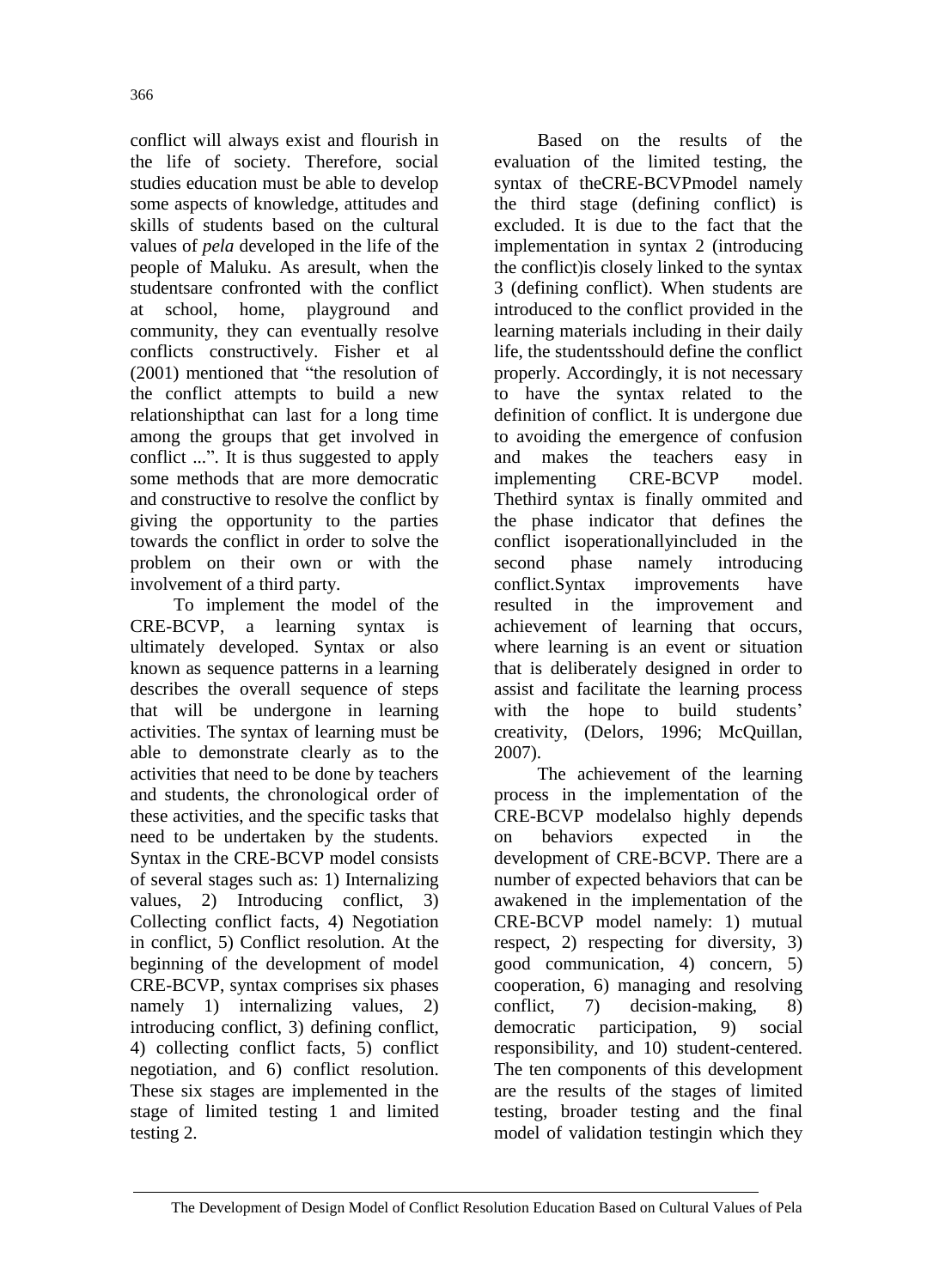conflict will always exist and flourish in the life of society. Therefore, social studies education must be able to develop some aspects of knowledge, attitudes and skills of students based on the cultural values of *pela* developed in the life of the people of Maluku. As aresult, when the studentsare confronted with the conflict at school, home, playground and community, they can eventually resolve conflicts constructively. Fisher et al (2001) mentioned that "the resolution of the conflict attempts to build a new relationshipthat can last for a long time among the groups that get involved in conflict ...". It is thus suggested to apply some methods that are more democratic and constructive to resolve the conflict by giving the opportunity to the parties towards the conflict in order to solve the problem on their own or with the involvement of a third party.

To implement the model of the CRE-BCVP, a learning syntax is ultimately developed. Syntax or also known as sequence patterns in a learning describes the overall sequence of steps that will be undergone in learning activities. The syntax of learning must be able to demonstrate clearly as to the activities that need to be done by teachers and students, the chronological order of these activities, and the specific tasks that need to be undertaken by the students. Syntax in the CRE-BCVP model consists of several stages such as: 1) Internalizing values, 2) Introducing conflict, 3) Collecting conflict facts, 4) Negotiation in conflict, 5) Conflict resolution. At the beginning of the development of model CRE-BCVP, syntax comprises six phases namely 1) internalizing values, 2) introducing conflict, 3) defining conflict, 4) collecting conflict facts, 5) conflict negotiation, and 6) conflict resolution. These six stages are implemented in the stage of limited testing 1 and limited testing 2.

Based on the results of the evaluation of the limited testing, the syntax of theCRE-BCVPmodel namely the third stage (defining conflict) is excluded. It is due to the fact that the implementation in syntax 2 (introducing the conflict)is closely linked to the syntax 3 (defining conflict). When students are introduced to the conflict provided in the learning materials including in their daily life, the studentsshould define the conflict properly. Accordingly, it is not necessary to have the syntax related to the definition of conflict. It is undergone due to avoiding the emergence of confusion and makes the teachers easy in implementing CRE-BCVP model. Thethird syntax is finally ommited and the phase indicator that defines the conflict isoperationallyincluded in the second phase namely introducing conflict.Syntax improvements have resulted in the improvement and achievement of learning that occurs, where learning is an event or situation that is deliberately designed in order to assist and facilitate the learning process with the hope to build students' creativity, (Delors, 1996; McQuillan, 2007).

The achievement of the learning process in the implementation of the CRE-BCVP modelalso highly depends on behaviors expected in the development of CRE-BCVP. There are a number of expected behaviors that can be awakened in the implementation of the CRE-BCVP model namely: 1) mutual respect, 2) respecting for diversity, 3) good communication, 4) concern, 5) cooperation, 6) managing and resolving conflict, 7) decision-making, 8) democratic participation, 9) social responsibility, and 10) student-centered. The ten components of this development are the results of the stages of limited testing, broader testing and the final model of validation testingin which they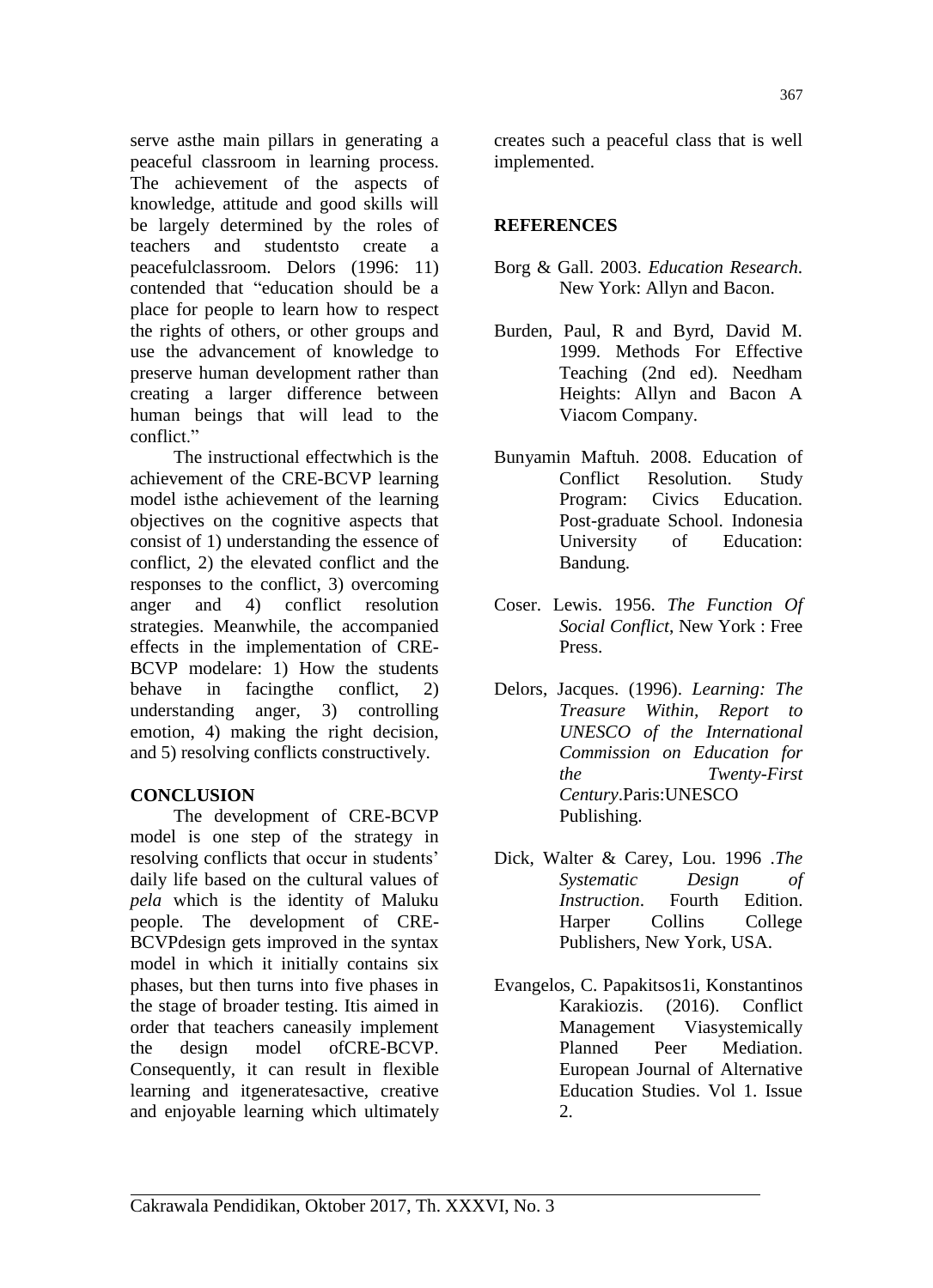serve asthe main pillars in generating a peaceful classroom in learning process. The achievement of the aspects of knowledge, attitude and good skills will be largely determined by the roles of teachers and studentsto create a peacefulclassroom. Delors (1996: 11) contended that "education should be a place for people to learn how to respect the rights of others, or other groups and use the advancement of knowledge to preserve human development rather than creating a larger difference between human beings that will lead to the conflict."

The instructional effectwhich is the achievement of the CRE-BCVP learning model isthe achievement of the learning objectives on the cognitive aspects that consist of 1) understanding the essence of conflict, 2) the elevated conflict and the responses to the conflict, 3) overcoming anger and 4) conflict resolution strategies. Meanwhile, the accompanied effects in the implementation of CRE-BCVP modelare: 1) How the students behave in facingthe conflict, 2) understanding anger, 3) controlling emotion, 4) making the right decision, and 5) resolving conflicts constructively.

# **CONCLUSION**

The development of CRE-BCVP model is one step of the strategy in resolving conflicts that occur in students' daily life based on the cultural values of *pela* which is the identity of Maluku people. The development of CRE-BCVPdesign gets improved in the syntax model in which it initially contains six phases, but then turns into five phases in the stage of broader testing. Itis aimed in order that teachers caneasily implement the design model ofCRE-BCVP. Consequently, it can result in flexible learning and itgeneratesactive, creative and enjoyable learning which ultimately

creates such a peaceful class that is well implemented.

## **REFERENCES**

- Borg & Gall. 2003. *Education Research*. New York: Allyn and Bacon.
- Burden, Paul, R and Byrd, David M. 1999. Methods For Effective Teaching (2nd ed). Needham Heights: Allyn and Bacon A Viacom Company.
- Bunyamin Maftuh. 2008. Education of Conflict Resolution. Study Program: Civics Education. Post-graduate School. Indonesia University of Education: Bandung.
- Coser. Lewis. 1956. *The Function Of Social Conflict*, New York : Free Press.
- Delors, Jacques. (1996). *Learning: The Treasure Within, Report to UNESCO of the International Commission on Education for the Twenty-First Century*.Paris:UNESCO Publishing.
- Dick, Walter & Carey, Lou. 1996 .*The Systematic Design of Instruction*. Fourth Edition. Harper Collins College Publishers, New York, USA.
- Evangelos, C. Papakitsos1i, Konstantinos Karakiozis. (2016). Conflict Management Viasystemically Planned Peer Mediation. European Journal of Alternative Education Studies. Vol 1. Issue 2.